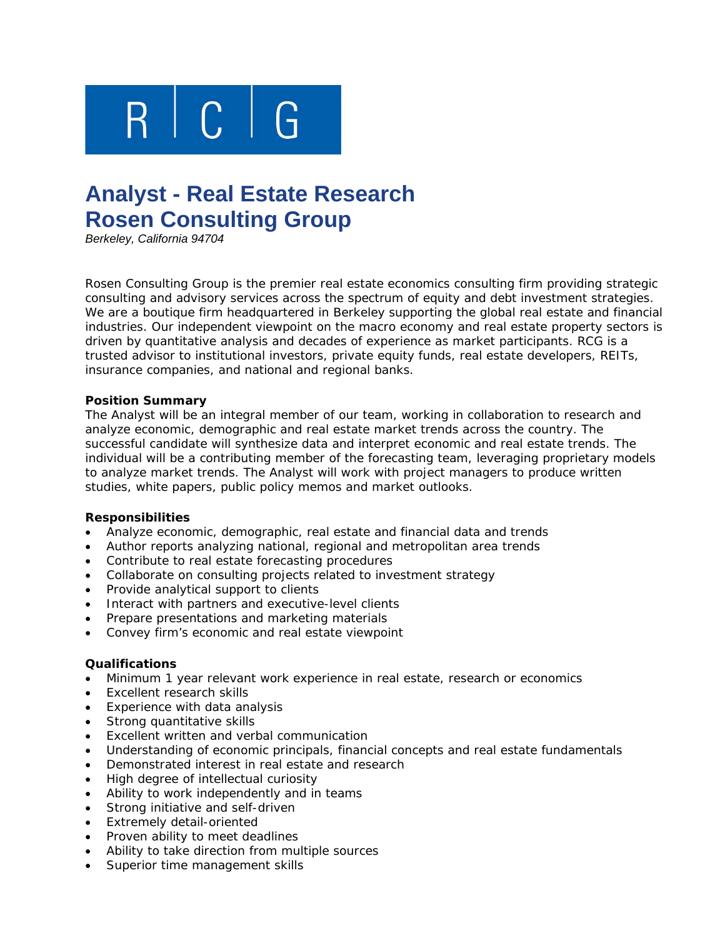

# **Analyst - Real Estate Research Rosen Consulting Group**

*Berkeley, California 94704* 

Rosen Consulting Group is the premier real estate economics consulting firm providing strategic consulting and advisory services across the spectrum of equity and debt investment strategies. We are a boutique firm headquartered in Berkeley supporting the global real estate and financial industries. Our independent viewpoint on the macro economy and real estate property sectors is driven by quantitative analysis and decades of experience as market participants. RCG is a trusted advisor to institutional investors, private equity funds, real estate developers, REITs, insurance companies, and national and regional banks.

## **Position Summary**

The Analyst will be an integral member of our team, working in collaboration to research and analyze economic, demographic and real estate market trends across the country. The successful candidate will synthesize data and interpret economic and real estate trends. The individual will be a contributing member of the forecasting team, leveraging proprietary models to analyze market trends. The Analyst will work with project managers to produce written studies, white papers, public policy memos and market outlooks.

## **Responsibilities**

- Analyze economic, demographic, real estate and financial data and trends
- Author reports analyzing national, regional and metropolitan area trends
- Contribute to real estate forecasting procedures
- Collaborate on consulting projects related to investment strategy
- Provide analytical support to clients
- Interact with partners and executive-level clients
- Prepare presentations and marketing materials
- Convey firm's economic and real estate viewpoint

## **Qualifications**

- Minimum 1 year relevant work experience in real estate, research or economics
- Excellent research skills
- Experience with data analysis
- Strong quantitative skills
- Excellent written and verbal communication
- Understanding of economic principals, financial concepts and real estate fundamentals
- Demonstrated interest in real estate and research
- High degree of intellectual curiosity
- Ability to work independently and in teams
- Strong initiative and self-driven
- Extremely detail-oriented
- Proven ability to meet deadlines
- Ability to take direction from multiple sources
- Superior time management skills